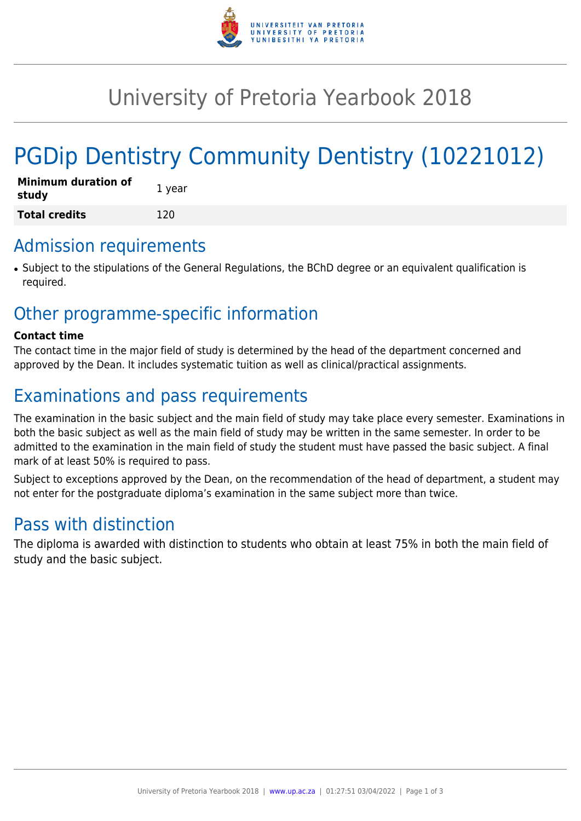

# University of Pretoria Yearbook 2018

# PGDip Dentistry Community Dentistry (10221012)

| Minimum duration of<br>study | 1 year |
|------------------------------|--------|
| <b>Total credits</b>         | 120    |

## Admission requirements

● Subject to the stipulations of the General Regulations, the BChD degree or an equivalent qualification is required.

# Other programme-specific information

#### **Contact time**

The contact time in the major field of study is determined by the head of the department concerned and approved by the Dean. It includes systematic tuition as well as clinical/practical assignments.

# Examinations and pass requirements

The examination in the basic subject and the main field of study may take place every semester. Examinations in both the basic subject as well as the main field of study may be written in the same semester. In order to be admitted to the examination in the main field of study the student must have passed the basic subject. A final mark of at least 50% is required to pass.

Subject to exceptions approved by the Dean, on the recommendation of the head of department, a student may not enter for the postgraduate diploma's examination in the same subject more than twice.

## Pass with distinction

The diploma is awarded with distinction to students who obtain at least 75% in both the main field of study and the basic subject.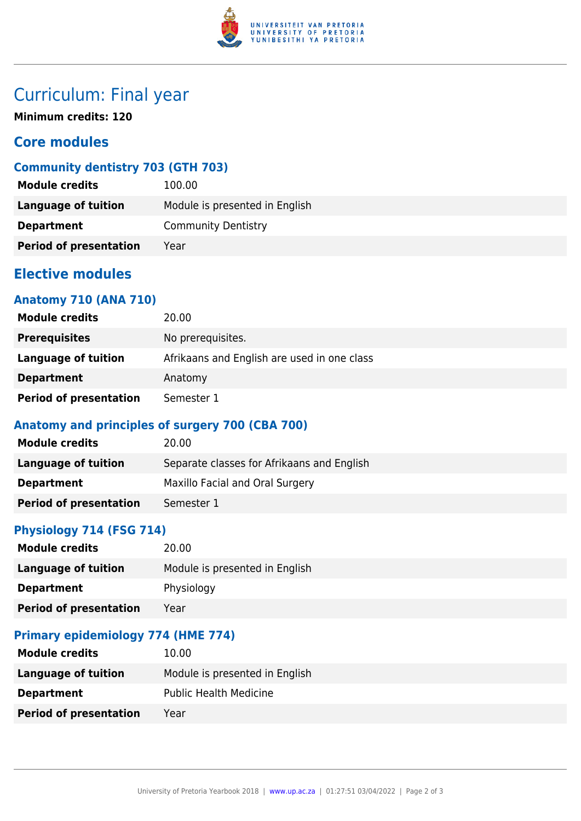

# Curriculum: Final year

**Minimum credits: 120**

## **Core modules**

## **Community dentistry 703 (GTH 703)**

| <b>Module credits</b>         | 100.00                         |
|-------------------------------|--------------------------------|
| Language of tuition           | Module is presented in English |
| <b>Department</b>             | <b>Community Dentistry</b>     |
| <b>Period of presentation</b> | Year                           |

## **Elective modules**

## **Anatomy 710 (ANA 710)**

| <b>Module credits</b>         | 20.00                                       |
|-------------------------------|---------------------------------------------|
| <b>Prerequisites</b>          | No prerequisites.                           |
| Language of tuition           | Afrikaans and English are used in one class |
| <b>Department</b>             | Anatomy                                     |
| <b>Period of presentation</b> | Semester 1                                  |

## **Anatomy and principles of surgery 700 (CBA 700)**

| <b>Module credits</b>         | 20.00                                      |
|-------------------------------|--------------------------------------------|
| Language of tuition           | Separate classes for Afrikaans and English |
| <b>Department</b>             | Maxillo Facial and Oral Surgery            |
| <b>Period of presentation</b> | Semester 1                                 |

## **Physiology 714 (FSG 714)**

| <b>Module credits</b>         | 20.00                          |
|-------------------------------|--------------------------------|
| Language of tuition           | Module is presented in English |
| <b>Department</b>             | Physiology                     |
| <b>Period of presentation</b> | Year                           |

#### **Primary epidemiology 774 (HME 774)**

| <b>Module credits</b>         | 10.00                          |
|-------------------------------|--------------------------------|
| Language of tuition           | Module is presented in English |
| <b>Department</b>             | <b>Public Health Medicine</b>  |
| <b>Period of presentation</b> | Year                           |